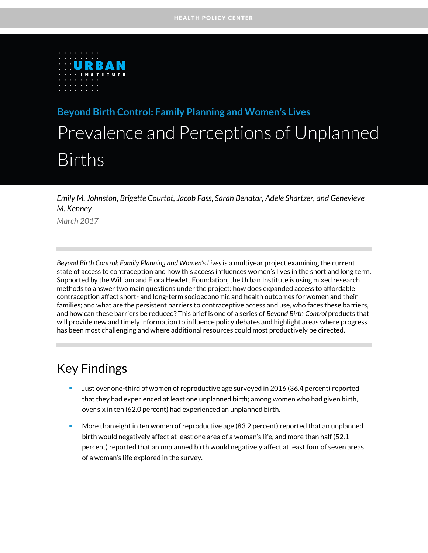

# **Beyond Birth Control: Family Planning and Women's Lives** Prevalence and Perceptions of Unplanned Births

*Emily M. Johnston, Brigette Courtot, Jacob Fass, Sarah Benatar, Adele Shartzer, and Genevieve M. Kenney*

*March 2017*

*Beyond Birth Control: Family Planning and Women's Lives* is a multiyear project examining the current state of access to contraception and how this access influences women's lives in the short and long term. Supported by the William and Flora Hewlett Foundation, the Urban Institute is using mixed research methods to answer two main questions under the project: how does expanded access to affordable contraception affect short- and long-term socioeconomic and health outcomes for women and their families; and what are the persistent barriers to contraceptive access and use, who faces these barriers, and how can these barriers be reduced? This brief is one of a series of *Beyond Birth Control* products that will provide new and timely information to influence policy debates and highlight areas where progress has been most challenging and where additional resources could most productively be directed.

# Key Findings

- Just over one-third of women of reproductive age surveyed in 2016 (36.4 percent) reported that they had experienced at least one unplanned birth; among women who had given birth, over six in ten (62.0 percent) had experienced an unplanned birth.
- **More than eight in ten women of reproductive age (83.2 percent) reported that an unplanned** birth would negatively affect at least one area of a woman's life, and more than half (52.1 percent) reported that an unplanned birth would negatively affect at least four of seven areas of a woman's life explored in the survey.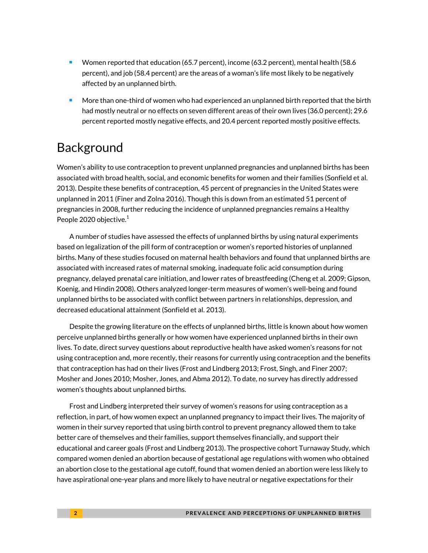- Women reported that education (65.7 percent), income (63.2 percent), mental health (58.6 percent), and job (58.4 percent) are the areas of a woman's life most likely to be negatively affected by an unplanned birth.
- More than one-third of women who had experienced an unplanned birth reported that the birth had mostly neutral or no effects on seven different areas of their own lives (36.0 percent); 29.6 percent reported mostly negative effects, and 20.4 percent reported mostly positive effects.

# Background

Women's ability to use contraception to prevent unplanned pregnancies and unplanned births has been associated with broad health, social, and economic benefits for women and their families (Sonfield et al. 2013). Despite these benefits of contraception, 45 percent of pregnancies in the United States were unplanned in 2011 (Finer and Zolna 2016). Though this is down from an estimated 51 percent of pregnancies in 2008, further reducing the incidence of unplanned pregnancies remains a Healthy People 2020 objective. $1$ 

A number of studies have assessed the effects of unplanned births by using natural experiments based on legalization of the pill form of contraception or women's reported histories of unplanned births. Many of these studies focused on maternal health behaviors and found that unplanned births are associated with increased rates of maternal smoking, inadequate folic acid consumption during pregnancy, delayed prenatal care initiation, and lower rates of breastfeeding (Cheng et al. 2009; Gipson, Koenig, and Hindin 2008). Others analyzed longer-term measures of women's well-being and found unplanned births to be associated with conflict between partners in relationships, depression, and decreased educational attainment (Sonfield et al. 2013).

Despite the growing literature on the effects of unplanned births, little is known about how women perceive unplanned births generally or how women have experienced unplanned births in their own lives. To date, direct survey questions about reproductive health have asked women's reasons for not using contraception and, more recently, their reasons for currently using contraception and the benefits that contraception has had on their lives (Frost and Lindberg 2013; Frost, Singh, and Finer 2007; Mosher and Jones 2010; Mosher, Jones, and Abma 2012). To date, no survey has directly addressed women's thoughts about unplanned births.

Frost and Lindberg interpreted their survey of women's reasons for using contraception as a reflection, in part, of how women expect an unplanned pregnancy to impact their lives. The majority of women in their survey reported that using birth control to prevent pregnancy allowed them to take better care of themselves and their families, support themselves financially, and support their educational and career goals (Frost and Lindberg 2013). The prospective cohort Turnaway Study, which compared women denied an abortion because of gestational age regulations with women who obtained an abortion close to the gestational age cutoff, found that women denied an abortion were less likely to have aspirational one-year plans and more likely to have neutral or negative expectations for their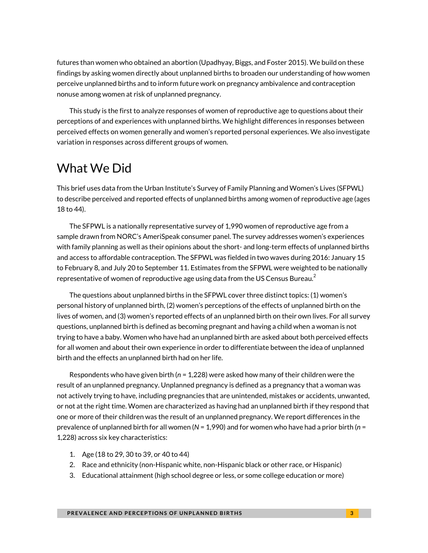futures than women who obtained an abortion (Upadhyay, Biggs, and Foster 2015). We build on these findings by asking women directly about unplanned births to broaden our understanding of how women perceive unplanned births and to inform future work on pregnancy ambivalence and contraception nonuse among women at risk of unplanned pregnancy.

This study is the first to analyze responses of women of reproductive age to questions about their perceptions of and experiences with unplanned births. We highlight differences in responses between perceived effects on women generally and women's reported personal experiences. We also investigate variation in responses across different groups of women.

# What We Did

This brief uses data from the Urban Institute's Survey of Family Planning and Women's Lives (SFPWL) to describe perceived and reported effects of unplanned births among women of reproductive age (ages 18 to 44).

The SFPWL is a nationally representative survey of 1,990 women of reproductive age from a sample drawn from NORC's AmeriSpeak consumer panel. The survey addresses women's experiences with family planning as well as their opinions about the short- and long-term effects of unplanned births and access to affordable contraception. The SFPWL was fielded in two waves during 2016: January 15 to February 8, and July 20 to September 11. Estimates from the SFPWL were weighted to be nationally representative of women of reproductive age using data from the US Census Bureau. $^2$  $^2$ 

The questions about unplanned births in the SFPWL cover three distinct topics: (1) women's personal history of unplanned birth, (2) women's perceptions of the effects of unplanned birth on the lives of women, and (3) women's reported effects of an unplanned birth on their own lives. For all survey questions, unplanned birth is defined as becoming pregnant and having a child when a woman is not trying to have a baby. Women who have had an unplanned birth are asked about both perceived effects for all women and about their own experience in order to differentiate between the idea of unplanned birth and the effects an unplanned birth had on her life.

Respondents who have given birth (*n* = 1,228) were asked how many of their children were the result of an unplanned pregnancy. Unplanned pregnancy is defined as a pregnancy that a woman was not actively trying to have, including pregnancies that are unintended, mistakes or accidents, unwanted, or not at the right time. Women are characterized as having had an unplanned birth if they respond that one or more of their children was the result of an unplanned pregnancy. We report differences in the prevalence of unplanned birth for all women (*N* = 1,990) and for women who have had a prior birth (*n* = 1,228) across six key characteristics:

- 1. Age (18 to 29, 30 to 39, or 40 to 44)
- 2. Race and ethnicity (non-Hispanic white, non-Hispanic black or other race, or Hispanic)
- 3. Educational attainment (high school degree or less, or some college education or more)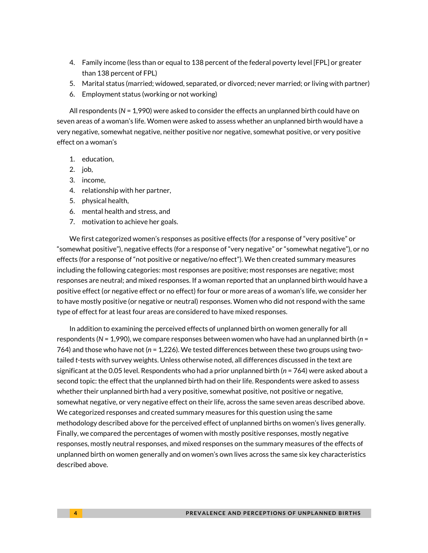- 4. Family income (less than or equal to 138 percent of the federal poverty level [FPL] or greater than 138 percent of FPL)
- 5. Marital status (married; widowed, separated, or divorced; never married; or living with partner)
- 6. Employment status (working or not working)

All respondents (*N* = 1,990) were asked to consider the effects an unplanned birth could have on seven areas of a woman's life. Women were asked to assess whether an unplanned birth would have a very negative, somewhat negative, neither positive nor negative, somewhat positive, or very positive effect on a woman's

- 1. education,
- 2. job,
- 3. income,
- 4. relationship with her partner,
- 5. physical health,
- 6. mental health and stress, and
- 7. motivation to achieve her goals.

We first categorized women's responses as positive effects (for a response of "very positive" or "somewhat positive"), negative effects (for a response of "very negative" or "somewhat negative"), or no effects (for a response of "not positive or negative/no effect"). We then created summary measures including the following categories: most responses are positive; most responses are negative; most responses are neutral; and mixed responses. If a woman reported that an unplanned birth would have a positive effect (or negative effect or no effect) for four or more areas of a woman's life, we consider her to have mostly positive (or negative or neutral) responses. Women who did not respond with the same type of effect for at least four areas are considered to have mixed responses.

In addition to examining the perceived effects of unplanned birth on women generally for all respondents (*N* = 1,990), we compare responses between women who have had an unplanned birth (*n* = 764) and those who have not (*n* = 1,226). We tested differences between these two groups using twotailed *t*-tests with survey weights. Unless otherwise noted, all differences discussed in the text are significant at the 0.05 level. Respondents who had a prior unplanned birth (*n* = 764) were asked about a second topic: the effect that the unplanned birth had on their life. Respondents were asked to assess whether their unplanned birth had a very positive, somewhat positive, not positive or negative, somewhat negative, or very negative effect on their life, across the same seven areas described above. We categorized responses and created summary measures for this question using the same methodology described above for the perceived effect of unplanned births on women's lives generally. Finally, we compared the percentages of women with mostly positive responses, mostly negative responses, mostly neutral responses, and mixed responses on the summary measures of the effects of unplanned birth on women generally and on women's own lives across the same six key characteristics described above.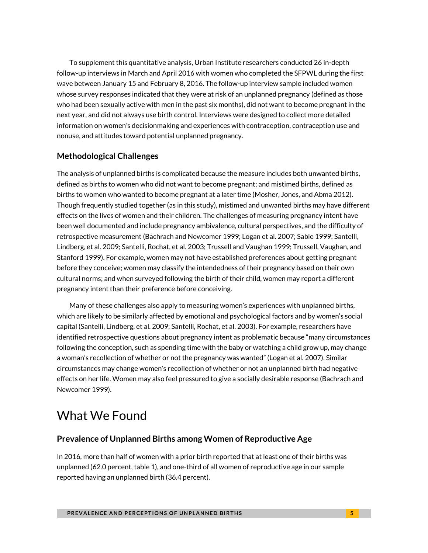To supplement this quantitative analysis, Urban Institute researchers conducted 26 in-depth follow-up interviews in March and April 2016 with women who completed the SFPWL during the first wave between January 15 and February 8, 2016. The follow-up interview sample included women whose survey responses indicated that they were at risk of an unplanned pregnancy (defined as those who had been sexually active with men in the past six months), did not want to become pregnant in the next year, and did not always use birth control. Interviews were designed to collect more detailed information on women's decisionmaking and experiences with contraception, contraception use and nonuse, and attitudes toward potential unplanned pregnancy.

### **Methodological Challenges**

The analysis of unplanned births is complicated because the measure includes both unwanted births, defined as births to women who did not want to become pregnant; and mistimed births, defined as births to women who wanted to become pregnant at a later time (Mosher, Jones, and Abma 2012). Though frequently studied together (as in this study), mistimed and unwanted births may have different effects on the lives of women and their children. The challenges of measuring pregnancy intent have been well documented and include pregnancy ambivalence, cultural perspectives, and the difficulty of retrospective measurement (Bachrach and Newcomer 1999; Logan et al. 2007; Sable 1999; Santelli, Lindberg, et al. 2009; Santelli, Rochat, et al. 2003; Trussell and Vaughan 1999; Trussell, Vaughan, and Stanford 1999). For example, women may not have established preferences about getting pregnant before they conceive; women may classify the intendedness of their pregnancy based on their own cultural norms; and when surveyed following the birth of their child, women may report a different pregnancy intent than their preference before conceiving.

Many of these challenges also apply to measuring women's experiences with unplanned births, which are likely to be similarly affected by emotional and psychological factors and by women's social capital (Santelli, Lindberg, et al. 2009; Santelli, Rochat, et al. 2003). For example, researchers have identified retrospective questions about pregnancy intent as problematic because "many circumstances following the conception, such as spending time with the baby or watching a child grow up, may change a woman's recollection of whether or not the pregnancy was wanted" (Logan et al. 2007). Similar circumstances may change women's recollection of whether or not an unplanned birth had negative effects on her life. Women may also feel pressured to give a socially desirable response (Bachrach and Newcomer 1999).

# What We Found

### **Prevalence of Unplanned Births among Women of Reproductive Age**

In 2016, more than half of women with a prior birth reported that at least one of their births was unplanned (62.0 percent, table 1), and one-third of all women of reproductive age in our sample reported having an unplanned birth (36.4 percent).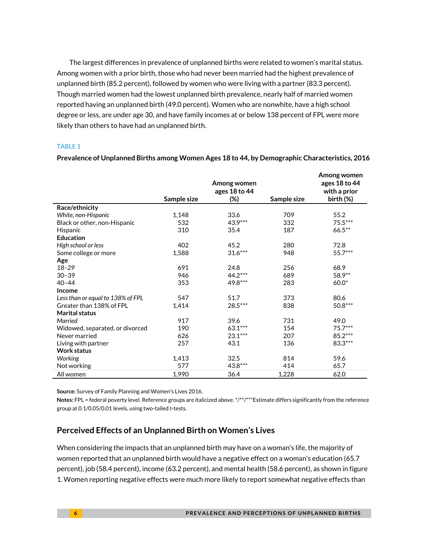The largest differences in prevalence of unplanned births were related to women's marital status. Among women with a prior birth, those who had never been married had the highest prevalence of unplanned birth (85.2 percent), followed by women who were living with a partner (83.3 percent). Though married women had the lowest unplanned birth prevalence, nearly half of married women reported having an unplanned birth (49.0 percent). Women who are nonwhite, have a high school degree or less, are under age 30, and have family incomes at or below 138 percent of FPL were more likely than others to have had an unplanned birth.

#### TABLE 1

|                                   |             | Among women<br>ages 18 to 44 |             | Among women<br>ages 18 to 44<br>with a prior |
|-----------------------------------|-------------|------------------------------|-------------|----------------------------------------------|
|                                   | Sample size | $(\%)$                       | Sample size | birth (%)                                    |
| Race/ethnicity                    |             |                              |             |                                              |
| White, non-Hispanic               | 1,148       | 33.6                         | 709         | 55.2                                         |
| Black or other, non-Hispanic      | 532         | 43.9***                      | 332         | $75.5***$                                    |
| Hispanic                          | 310         | 35.4                         | 187         | $66.5***$                                    |
| <b>Education</b>                  |             |                              |             |                                              |
| High school or less               | 402         | 45.2                         | 280         | 72.8                                         |
| Some college or more              | 1,588       | $31.6***$                    | 948         | 55.7***                                      |
| Age                               |             |                              |             |                                              |
| $18 - 29$                         | 691         | 24.8                         | 256         | 68.9                                         |
| $30 - 39$                         | 946         | 44.2***                      | 689         | 58.9**                                       |
| $40 - 44$                         | 353         | $49.8***$                    | 283         | $60.0*$                                      |
| Income                            |             |                              |             |                                              |
| Less than or equal to 138% of FPL | 547         | 51.7                         | 373         | 80.6                                         |
| Greater than 138% of FPL          | 1,414       | $28.5***$                    | 838         | 50.8***                                      |
| <b>Marital status</b>             |             |                              |             |                                              |
| Married                           | 917         | 39.6                         | 731         | 49.0                                         |
| Widowed, separated, or divorced   | 190         | $63.1***$                    | 154         | 75.7***                                      |
| Never married                     | 626         | $23.1***$                    | 207         | 85.2***                                      |
| Living with partner               | 257         | 43.1                         | 136         | 83.3***                                      |
| <b>Work status</b>                |             |                              |             |                                              |
| Working                           | 1,413       | 32.5                         | 814         | 59.6                                         |
| Not working                       | 577         | 43.8***                      | 414         | 65.7                                         |
| All women                         | 1,990       | 36.4                         | 1,228       | 62.0                                         |

#### **Prevalence of Unplanned Births among Women Ages 18 to 44, by Demographic Characteristics, 2016**

**Source:** Survey of Family Planning and Women's Lives 2016.

**Notes:** FPL = federal poverty level. Reference groups are italicized above. \*/\*\*/\*\*\*Estimate differs significantly from the reference group at 0.1/0.05/0.01 levels, using two-tailed *t*-tests.

### **Perceived Effects of an Unplanned Birth on Women's Lives**

When considering the impacts that an unplanned birth may have on a woman's life, the majority of women reported that an unplanned birth would have a negative effect on a woman's education (65.7 percent), job (58.4 percent), income (63.2 percent), and mental health (58.6 percent), as shown in figure 1. Women reporting negative effects were much more likely to report somewhat negative effects than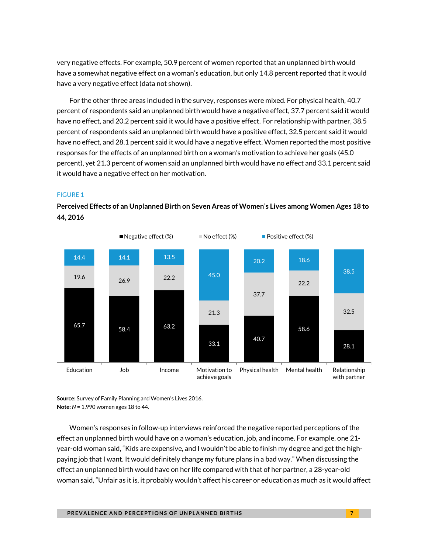very negative effects. For example, 50.9 percent of women reported that an unplanned birth would have a somewhat negative effect on a woman's education, but only 14.8 percent reported that it would have a very negative effect (data not shown).

For the other three areas included in the survey, responses were mixed. For physical health, 40.7 percent of respondents said an unplanned birth would have a negative effect, 37.7 percent said it would have no effect, and 20.2 percent said it would have a positive effect. For relationship with partner, 38.5 percent of respondents said an unplanned birth would have a positive effect, 32.5 percent said it would have no effect, and 28.1 percent said it would have a negative effect. Women reported the most positive responses for the effects of an unplanned birth on a woman's motivation to achieve her goals (45.0 percent), yet 21.3 percent of women said an unplanned birth would have no effect and 33.1 percent said it would have a negative effect on her motivation.

#### FIGURE 1



**Perceived Effects of an Unplanned Birth on Seven Areas of Women's Lives among Women Ages 18 to 44, 2016**

**Source:** Survey of Family Planning and Women's Lives 2016. **Note:** *N* = 1,990 women ages 18 to 44.

Women's responses in follow-up interviews reinforced the negative reported perceptions of the effect an unplanned birth would have on a woman's education, job, and income. For example, one 21 year-old woman said, "Kids are expensive, and I wouldn't be able to finish my degree and get the highpaying job that I want. It would definitely change my future plans in a bad way." When discussing the effect an unplanned birth would have on her life compared with that of her partner, a 28-year-old woman said, "Unfair as it is, it probably wouldn't affect his career or education as much as it would affect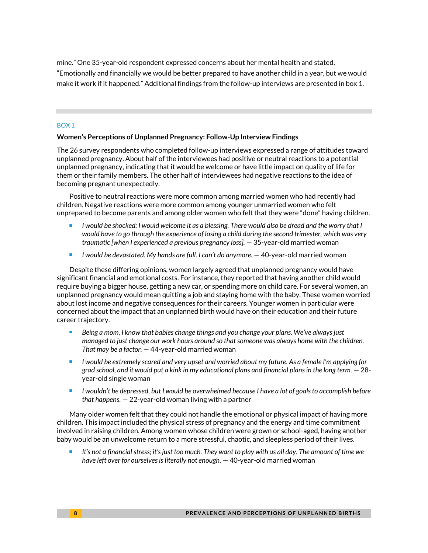mine." One 35-year-old respondent expressed concerns about her mental health and stated, "Emotionally and financially we would be better prepared to have another child in a year, but we would make it work if it happened." Additional findings from the follow-up interviews are presented in box 1.

#### BOX 1

#### **Women's Perceptions of Unplanned Pregnancy: Follow-Up Interview Findings**

The 26 survey respondents who completed follow-up interviews expressed a range of attitudes toward unplanned pregnancy. About half of the interviewees had positive or neutral reactions to a potential unplanned pregnancy, indicating that it would be welcome or have little impact on quality of life for them or their family members. The other half of interviewees had negative reactions to the idea of becoming pregnant unexpectedly.

Positive to neutral reactions were more common among married women who had recently had children. Negative reactions were more common among younger unmarried women who felt unprepared to become parents and among older women who felt that they were "done" having children.

- *I would be shocked; I would welcome it as a blessing. There would also be dread and the worry that I would have to go through the experience of losing a child during the second trimester, which was very traumatic [when I experienced a previous pregnancy loss].* — 35-year-old married woman
- *I would be devastated. My hands are full. I can't do anymore.* 40-year-old married woman

Despite these differing opinions, women largely agreed that unplanned pregnancy would have significant financial and emotional costs. For instance, they reported that having another child would require buying a bigger house, getting a new car, or spending more on child care. For several women, an unplanned pregnancy would mean quitting a job and staying home with the baby. These women worried about lost income and negative consequences for their careers. Younger women in particular were concerned about the impact that an unplanned birth would have on their education and their future career trajectory.

- *Being a mom, I know that babies change things and you change your plans. We've always just managed to just change our work hours around so that someone was always home with the children. That may be a factor.* — 44-year-old married woman
- *I would be extremely scared and very upset and worried about my future. As a female I'm applying for grad school, and it would put a kink in my educational plans and financial plans in the long term.* — 28 year-old single woman
- *I wouldn't be depressed, but I would be overwhelmed because I have a lot of goals to accomplish before that happens.* — 22-year-old woman living with a partner

Many older women felt that they could not handle the emotional or physical impact of having more children. This impact included the physical stress of pregnancy and the energy and time commitment involved in raising children. Among women whose children were grown or school-aged, having another baby would be an unwelcome return to a more stressful, chaotic, and sleepless period of their lives.

 *It's not a financial stress; it's just too much. They want to play with us all day. The amount of time we have left over for ourselves is literally not enough.* — 40-year-old married woman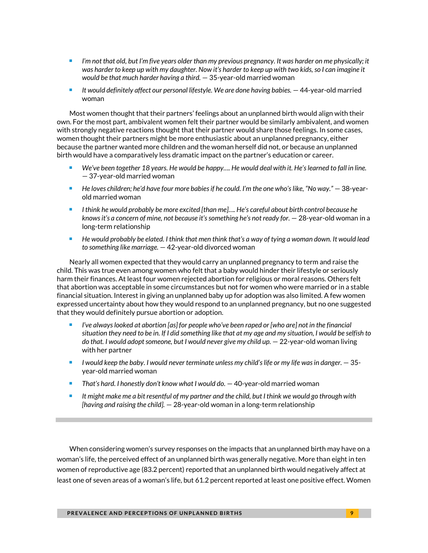- *I'm not that old, but I'm five years older than my previous pregnancy. It was harder on me physically; it was harder to keep up with my daughter. Now it's harder to keep up with two kids, so I can imagine it would be that much harder having a third.* — 35-year-old married woman
- *It would definitely affect our personal lifestyle. We are done having babies.* 44-year-old married woman

Most women thought that their partners' feelings about an unplanned birth would align with their own. For the most part, ambivalent women felt their partner would be similarly ambivalent, and women with strongly negative reactions thought that their partner would share those feelings. In some cases, women thought their partners might be more enthusiastic about an unplanned pregnancy, either because the partner wanted more children and the woman herself did not, or because an unplanned birth would have a comparatively less dramatic impact on the partner's education or career.

- *We've been together 18 years. He would be happy…. He would deal with it. He's learned to fall in line.* — 37-year-old married woman
- *He loves children; he'd have four more babies if he could. I'm the one who's like, "No way."* 38-yearold married woman
- *I think he would probably be more excited [than me]…. He's careful about birth control because he knows it's a concern of mine, not because it's something he's not ready for.* — 28-year-old woman in a long-term relationship
- *He would probably be elated. I think that men think that's a way of tying a woman down. It would lead to something like marriage.* — 42-year-old divorced woman

Nearly all women expected that they would carry an unplanned pregnancy to term and raise the child. This was true even among women who felt that a baby would hinder their lifestyle or seriously harm their finances. At least four women rejected abortion for religious or moral reasons. Others felt that abortion was acceptable in some circumstances but not for women who were married or in a stable financial situation. Interest in giving an unplanned baby up for adoption was also limited. A few women expressed uncertainty about how they would respond to an unplanned pregnancy, but no one suggested that they would definitely pursue abortion or adoption.

- *I've always looked at abortion [as] for people who've been raped or [who are] not in the financial situation they need to be in. If I did something like that at my age and my situation, I would be selfish to do that. I would adopt someone, but I would never give my child up.* — 22-year-old woman living with her partner
- *I would keep the baby. I would never terminate unless my child's life or my life was in danger.* 35 year-old married woman
- *That's hard. I honestly don't know what I would do.* 40-year-old married woman
- *It might make me a bit resentful of my partner and the child, but I think we would go through with [having and raising the child].* — 28-year-old woman in a long-term relationship

When considering women's survey responses on the impacts that an unplanned birth may have on a woman's life, the perceived effect of an unplanned birth was generally negative. More than eight in ten women of reproductive age (83.2 percent) reported that an unplanned birth would negatively affect at least one of seven areas of a woman's life, but 61.2 percent reported at least one positive effect. Women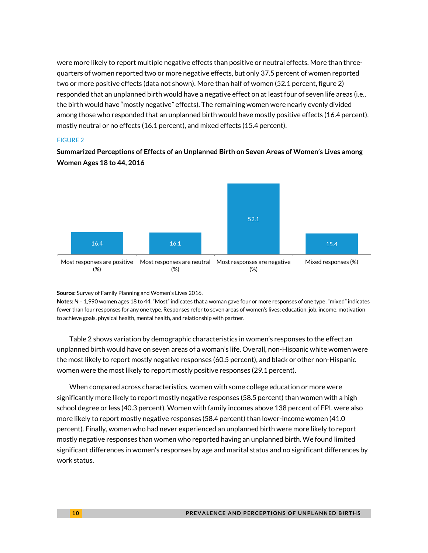were more likely to report multiple negative effects than positive or neutral effects. More than threequarters of women reported two or more negative effects, but only 37.5 percent of women reported two or more positive effects (data not shown). More than half of women (52.1 percent, figure 2) responded that an unplanned birth would have a negative effect on at least four of seven life areas (i.e., the birth would have "mostly negative" effects). The remaining women were nearly evenly divided among those who responded that an unplanned birth would have mostly positive effects (16.4 percent), mostly neutral or no effects (16.1 percent), and mixed effects (15.4 percent).

#### FIGURE 2

**Summarized Perceptions of Effects of an Unplanned Birth on Seven Areas of Women's Lives among Women Ages 18 to 44, 2016**



**Source:** Survey of Family Planning and Women's Lives 2016.

**Notes:** *N* = 1,990 women ages 18 to 44. "Most" indicates that a woman gave four or more responses of one type; "mixed" indicates fewer than four responses for any one type. Responses refer to seven areas of women's lives: education, job, income, motivation to achieve goals, physical health, mental health, and relationship with partner.

Table 2 shows variation by demographic characteristics in women's responses to the effect an unplanned birth would have on seven areas of a woman's life. Overall, non-Hispanic white women were the most likely to report mostly negative responses (60.5 percent), and black or other non-Hispanic women were the most likely to report mostly positive responses (29.1 percent).

When compared across characteristics, women with some college education or more were significantly more likely to report mostly negative responses (58.5 percent) than women with a high school degree or less (40.3 percent). Women with family incomes above 138 percent of FPL were also more likely to report mostly negative responses (58.4 percent) than lower-income women (41.0 percent). Finally, women who had never experienced an unplanned birth were more likely to report mostly negative responses than women who reported having an unplanned birth. We found limited significant differences in women's responses by age and marital status and no significant differences by work status.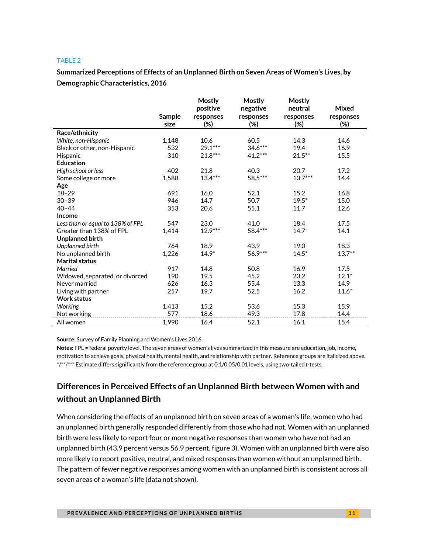#### TABLE 2

### **Summarized Perceptions of Effects of an Unplanned Birth on Seven Areas of Women's Lives, by Demographic Characteristics, 2016**

|                                   |               | <b>Mostly</b><br>positive | <b>Mostly</b><br>negative | <b>Mostly</b><br>neutral | Mixed     |
|-----------------------------------|---------------|---------------------------|---------------------------|--------------------------|-----------|
|                                   | <b>Sample</b> | responses                 | responses                 | responses                | responses |
|                                   | size          | (%)                       | (%)                       | $(\%)$                   | $(\%)$    |
| Race/ethnicity                    |               |                           |                           |                          |           |
| White, non-Hispanic               | 1,148         | 10.6                      | 60.5                      | 14.3                     | 14.6      |
| Black or other, non-Hispanic      | 532           | $29.1***$                 | $34.6***$                 | 19.4                     | 16.9      |
| Hispanic                          | 310           | $21.8***$                 | $41.2***$                 | $21.5***$                | 15.5      |
| <b>Education</b>                  |               |                           |                           |                          |           |
| High school or less               | 402           | 21.8                      | 40.3                      | 20.7                     | 17.2      |
| Some college or more              | 1,588         | $13.4***$                 | 58.5***                   | $13.7***$                | 14.4      |
| Age                               |               |                           |                           |                          |           |
| $18 - 29$                         | 691           | 16.0                      | 52.1                      | 15.2                     | 16.8      |
| $30 - 39$                         | 946           | 14.7                      | 50.7                      | $19.5*$                  | 15.0      |
| $40 - 44$                         | 353           | 20.6                      | 55.1                      | 11.7                     | 12.6      |
| Income                            |               |                           |                           |                          |           |
| Less than or equal to 138% of FPL | 547           | 23.0                      | 41.0                      | 18.4                     | 17.5      |
| Greater than 138% of FPL          | 1,414         | $12.9***$                 | 58.4***                   | 14.7                     | 14.1      |
| <b>Unplanned birth</b>            |               |                           |                           |                          |           |
| Unplanned birth                   | 764           | 18.9                      | 43.9                      | 19.0                     | 18.3      |
| No unplanned birth                | 1,226         | $14.9*$                   | 56.9***                   | $14.5*$                  | $13.7**$  |
| <b>Marital status</b>             |               |                           |                           |                          |           |
| Married                           | 917           | 14.8                      | 50.8                      | 16.9                     | 17.5      |
| Widowed, separated, or divorced   | 190           | 19.5                      | 45.2                      | 23.2                     | $12.1*$   |
| Never married                     | 626           | 16.3                      | 55.4                      | 13.3                     | 14.9      |
| Living with partner               | 257           | 19.7                      | 52.5                      | 16.2                     | $11.6*$   |
| <b>Work status</b>                |               |                           |                           |                          |           |
| Working                           | 1,413         | 15.2                      | 53.6                      | 15.3                     | 15.9      |
| Not working                       | 577           | 18.6                      | 49.3                      | 17.8                     | 14.4      |
| All women                         | 1,990         | 16.4                      | 52.1                      | 16.1                     | 15.4      |

**Source:** Survey of Family Planning and Women's Lives 2016.

**Notes:** FPL = federal poverty level. The seven areas of women's lives summarized in this measure are education, job, income, motivation to achieve goals, physical health, mental health, and relationship with partner. Reference groups are italicized above. \*/\*\*/\*\*\* Estimate differs significantly from the reference group at 0.1/0.05/0.01 levels, using two-tailed *t*-tests.

### **Differences in Perceived Effects of an Unplanned Birth between Women with and without an Unplanned Birth**

When considering the effects of an unplanned birth on seven areas of a woman's life, women who had an unplanned birth generally responded differently from those who had not. Women with an unplanned birth were less likely to report four or more negative responses than women who have not had an unplanned birth (43.9 percent versus 56.9 percent, figure 3). Women with an unplanned birth were also more likely to report positive, neutral, and mixed responses than women without an unplanned birth. The pattern of fewer negative responses among women with an unplanned birth is consistent across all seven areas of a woman's life (data not shown).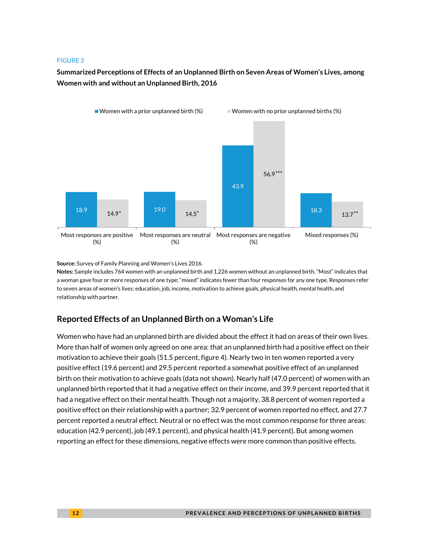#### FIGURE 3

### **Summarized Perceptions of Effects of an Unplanned Birth on Seven Areas of Women's Lives, among Women with and without an Unplanned Birth, 2016**



**Source:** Survey of Family Planning and Women's Lives 2016.

**Notes:** Sample includes 764 women with an unplanned birth and 1,226 women without an unplanned birth. "Most" indicates that a woman gave four or more responses of one type;"mixed" indicates fewer than four responses for any one type. Responses refer to seven areas of women's lives: education, job, income, motivation to achieve goals, physical health, mental health, and relationship with partner.

### **Reported Effects of an Unplanned Birth on a Woman's Life**

Women who have had an unplanned birth are divided about the effect it had on areas of their own lives. More than half of women only agreed on one area: that an unplanned birth had a positive effect on their motivation to achieve their goals (51.5 percent, figure 4). Nearly two in ten women reported a very positive effect (19.6 percent) and 29.5 percent reported a somewhat positive effect of an unplanned birth on their motivation to achieve goals (data not shown). Nearly half (47.0 percent) of women with an unplanned birth reported that it had a negative effect on their income, and 39.9 percent reported that it had a negative effect on their mental health. Though not a majority, 38.8 percent of women reported a positive effect on their relationship with a partner; 32.9 percent of women reported no effect, and 27.7 percent reported a neutral effect. Neutral or no effect was the most common response for three areas: education (42.9 percent), job (49.1 percent), and physical health (41.9 percent). But among women reporting an effect for these dimensions, negative effects were more common than positive effects.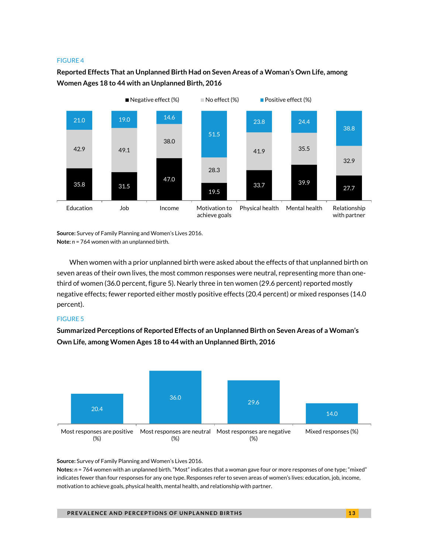#### FIGURE 4

### **Reported Effects That an Unplanned Birth Had on Seven Areas of a Woman's Own Life, among Women Ages 18 to 44 with an Unplanned Birth, 2016**



**Source:** Survey of Family Planning and Women's Lives 2016. **Note:** *n* = 764 women with an unplanned birth.

When women with a prior unplanned birth were asked about the effects of that unplanned birth on seven areas of their own lives, the most common responses were neutral, representing more than onethird of women (36.0 percent, figure 5). Nearly three in ten women (29.6 percent) reported mostly negative effects; fewer reported either mostly positive effects (20.4 percent) or mixed responses (14.0 percent).

#### FIGURE 5

**Summarized Perceptions of Reported Effects of an Unplanned Birth on Seven Areas of a Woman's Own Life, among Women Ages 18 to 44 with an Unplanned Birth, 2016**



#### **Source:** Survey of Family Planning and Women's Lives 2016.

**Notes:** *n* = 764 women with an unplanned birth. "Most" indicates that a woman gave four or more responses of one type;"mixed" indicates fewer than four responses for any one type. Responses refer to seven areas of women's lives: education, job, income, motivation to achieve goals, physical health, mental health, and relationship with partner.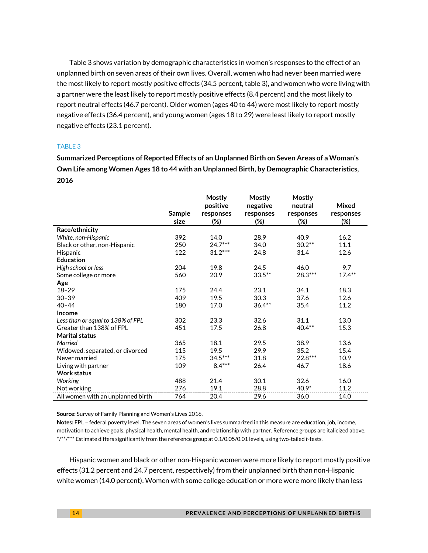Table 3 shows variation by demographic characteristics in women's responses to the effect of an unplanned birth on seven areas of their own lives. Overall, women who had never been married were the most likely to report mostly positive effects (34.5 percent, table 3), and women who were living with a partner were the least likely to report mostly positive effects (8.4 percent) and the most likely to report neutral effects (46.7 percent). Older women (ages 40 to 44) were most likely to report mostly negative effects (36.4 percent), and young women (ages 18 to 29) were least likely to report mostly negative effects (23.1 percent).

#### TABLE 3

**Summarized Perceptions of Reported Effects of an Unplanned Birth on Seven Areas of a Woman's Own Life among Women Ages 18 to 44 with an Unplanned Birth, by Demographic Characteristics, 2016**

|                                   |               | <b>Mostly</b><br>positive | Mostly<br>negative | <b>Mostly</b><br>neutral | Mixed     |
|-----------------------------------|---------------|---------------------------|--------------------|--------------------------|-----------|
|                                   | <b>Sample</b> | responses                 | responses          | responses                | responses |
|                                   | size          | $(\%)$                    | (%)                | $(\%)$                   | (%)       |
| Race/ethnicity                    |               |                           |                    |                          |           |
| White, non-Hispanic               | 392           | 14.0                      | 28.9               | 40.9                     | 16.2      |
| Black or other, non-Hispanic      | 250           | 24.7***                   | 34.0               | $30.2**$                 | 11.1      |
| Hispanic                          | 122           | $31.2***$                 | 24.8               | 31.4                     | 12.6      |
| <b>Education</b>                  |               |                           |                    |                          |           |
| High school or less               | 204           | 19.8                      | 24.5               | 46.0                     | 9.7       |
| Some college or more              | 560           | 20.9                      | $33.5***$          | 28.3***                  | $17.4***$ |
| Age                               |               |                           |                    |                          |           |
| $18 - 29$                         | 175           | 24.4                      | 23.1               | 34.1                     | 18.3      |
| $30 - 39$                         | 409           | 19.5                      | 30.3               | 37.6                     | 12.6      |
| $40 - 44$                         | 180           | 17.0                      | $36.4**$           | 35.4                     | 11.2      |
| Income                            |               |                           |                    |                          |           |
| Less than or equal to 138% of FPL | 302           | 23.3                      | 32.6               | 31.1                     | 13.0      |
| Greater than 138% of FPL          | 451           | 17.5                      | 26.8               | $40.4**$                 | 15.3      |
| <b>Marital status</b>             |               |                           |                    |                          |           |
| Married                           | 365           | 18.1                      | 29.5               | 38.9                     | 13.6      |
| Widowed, separated, or divorced   | 115           | 19.5                      | 29.9               | 35.2                     | 15.4      |
| Never married                     | 175           | $34.5***$                 | 31.8               | $22.8***$                | 10.9      |
| Living with partner               | 109           | $8.4***$                  | 26.4               | 46.7                     | 18.6      |
| <b>Work status</b>                |               |                           |                    |                          |           |
| Working                           | 488           | 21.4                      | 30.1               | 32.6                     | 16.0      |
| Not working                       | 276           | 19.1                      | 28.8               | $40.9*$                  | 11.2      |
| All women with an unplanned birth | 764           | 20.4                      | 29.6               | 36.0                     | 14.0      |

**Source:** Survey of Family Planning and Women's Lives 2016.

**Notes:** FPL = federal poverty level. The seven areas of women's lives summarized in this measure are education, job, income, motivation to achieve goals, physical health, mental health, and relationship with partner. Reference groups are italicized above. \*/\*\*/\*\*\* Estimate differs significantly from the reference group at 0.1/0.05/0.01 levels, using two-tailed *t*-tests.

Hispanic women and black or other non-Hispanic women were more likely to report mostly positive effects (31.2 percent and 24.7 percent, respectively) from their unplanned birth than non-Hispanic white women (14.0 percent). Women with some college education or more were more likely than less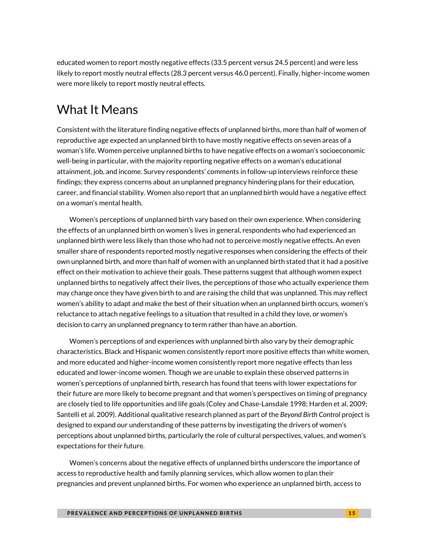educated women to report mostly negative effects (33.5 percent versus 24.5 percent) and were less likely to report mostly neutral effects (28.3 percent versus 46.0 percent). Finally, higher-income women were more likely to report mostly neutral effects.

### What It Means

Consistent with the literature finding negative effects of unplanned births, more than half of women of reproductive age expected an unplanned birth to have mostly negative effects on seven areas of a woman's life. Women perceive unplanned births to have negative effects on a woman's socioeconomic well-being in particular, with the majority reporting negative effects on a woman's educational attainment, job, and income. Survey respondents' comments in follow-up interviews reinforce these findings; they express concerns about an unplanned pregnancy hindering plans for their education, career, and financial stability. Women also report that an unplanned birth would have a negative effect on a woman's mental health.

Women's perceptions of unplanned birth vary based on their own experience. When considering the effects of an unplanned birth on women's lives in general, respondents who had experienced an unplanned birth were less likely than those who had not to perceive mostly negative effects. An even smaller share of respondents reported mostly negative responses when considering the effects of their own unplanned birth, and more than half of women with an unplanned birth stated that it had a positive effect on their motivation to achieve their goals. These patterns suggest that although women expect unplanned births to negatively affect their lives, the perceptions of those who actually experience them may change once they have given birth to and are raising the child that was unplanned. This may reflect women's ability to adapt and make the best of their situation when an unplanned birth occurs, women's reluctance to attach negative feelings to a situation that resulted in a child they love, or women's decision to carry an unplanned pregnancy to term rather than have an abortion.

Women's perceptions of and experiences with unplanned birth also vary by their demographic characteristics. Black and Hispanic women consistently report more positive effects than white women, and more educated and higher-income women consistently report more negative effects than less educated and lower-income women. Though we are unable to explain these observed patterns in women's perceptions of unplanned birth, research has found that teens with lower expectations for their future are more likely to become pregnant and that women's perspectives on timing of pregnancy are closely tied to life opportunities and life goals (Coley and Chase-Lansdale 1998; Harden et al. 2009; Santelli et al. 2009). Additional qualitative research planned as part of the *Beyond Birth Control* project is designed to expand our understanding of these patterns by investigating the drivers of women's perceptions about unplanned births, particularly the role of cultural perspectives, values, and women's expectations for their future.

Women's concerns about the negative effects of unplanned births underscore the importance of access to reproductive health and family planning services, which allow women to plan their pregnancies and prevent unplanned births. For women who experience an unplanned birth, access to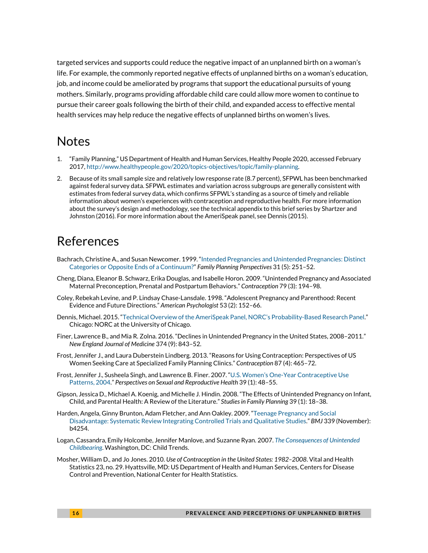targeted services and supports could reduce the negative impact of an unplanned birth on a woman's life. For example, the commonly reported negative effects of unplanned births on a woman's education, job, and income could be ameliorated by programs that support the educational pursuits of young mothers. Similarly, programs providing affordable child care could allow more women to continue to pursue their career goals following the birth of their child, and expanded access to effective mental health services may help reduce the negative effects of unplanned births on women's lives.

# **Notes**

- <span id="page-15-0"></span>1. "Family Planning," US Department of Health and Human Services, Healthy People 2020, accessed February 2017[, http://www.healthypeople.gov/2020/topics-objectives/topic/family-planning.](http://www.healthypeople.gov/2020/topics-objectives/topic/family-planning)
- <span id="page-15-1"></span>2. Because of its small sample size and relatively low response rate (8.7 percent), SFPWL has been benchmarked against federal survey data. SFPWL estimates and variation across subgroups are generally consistent with estimates from federal survey data, which confirms SFPWL's standing as a source of timely and reliable information about women's experiences with contraception and reproductive health. For more information about the survey's design and methodology, see the technical appendix to this brief series by Shartzer and Johnston (2016). For more information about the AmeriSpeak panel, see Dennis (2015).

# References

- Bachrach, Christine A., and Susan Newcomer. 1999. ["Intended Pregnancies and Unintended Pregnancies: Distinct](http://www.jstor.org/stable/2991577)  [Categories or Opposite Ends of a Continuum?"](http://www.jstor.org/stable/2991577) *Family Planning Perspectives* 31 (5): 251–52.
- Cheng, Diana, Eleanor B. Schwarz, Erika Douglas, and Isabelle Horon. 2009. "Unintended Pregnancy and Associated Maternal Preconception, Prenatal and Postpartum Behaviors." *Contraception* 79 (3): 194–98.
- Coley, Rebekah Levine, and P. Lindsay Chase-Lansdale. 1998. "Adolescent Pregnancy and Parenthood: Recent Evidence and Future Directions." *American Psychologist* 53 (2): 152–66.
- Dennis, Michael. 2015. ["Technical Overview of the AmeriSpeak Panel, NORC's Probability-Based Research Panel."](http://www.norc.org/PDFs/AmeriSpeak%20Technical%20Overview%202015%2011%2025.pdf) Chicago: NORC at the University of Chicago.
- Finer, Lawrence B., and Mia R. Zolna. 2016. "Declines in Unintended Pregnancy in the United States, 2008–2011." *New England Journal of Medicine* 374 (9): 843–52.
- Frost, Jennifer J., and Laura Duberstein Lindberg. 2013. "Reasons for Using Contraception: Perspectives of US Women Seeking Care at Specialized Family Planning Clinics." *Contraception* 87 (4): 465–72.
- Frost, Jennifer J., Susheela Singh, and Lawrence B. Finer. 2007. ["U.S. Women's One-Year Contraceptive Use](http://dx.doi.org/10.1363/3904807)  [Patterns, 2004."](http://dx.doi.org/10.1363/3904807) *Perspectives on Sexual and Reproductive Health* 39 (1): 48–55.
- Gipson, Jessica D., Michael A. Koenig, and Michelle J. Hindin. 2008. "The Effects of Unintended Pregnancy on Infant, Child, and Parental Health: A Review of the Literature." *Studies in Family Planning* 39 (1): 18–38.
- Harden, Angela, Ginny Brunton, Adam Fletcher, and Ann Oakley. 2009. ["Teenage Pregnancy and Social](https://doi.org/10.1136/bmj.b4254)  [Disadvantage: Systematic Review Integrating Controlled Trials and Qualitative Studies.](https://doi.org/10.1136/bmj.b4254)" *BMJ* 339 (November): b4254.
- Logan, Cassandra, Emily Holcombe, Jennifer Manlove, and Suzanne Ryan. 2007. *[The Consequences of Unintended](http://thenationalcampaign.org/sites/default/files/resource-primary-download/consequences.pdf)  [Childbearing](http://thenationalcampaign.org/sites/default/files/resource-primary-download/consequences.pdf)*. Washington, DC: Child Trends.
- Mosher, William D., and Jo Jones. 2010. *Use of Contraception in the United States: 1982–2008*. Vital and Health Statistics 23, no. 29. Hyattsville, MD: US Department of Health and Human Services, Centers for Disease Control and Prevention, National Center for Health Statistics.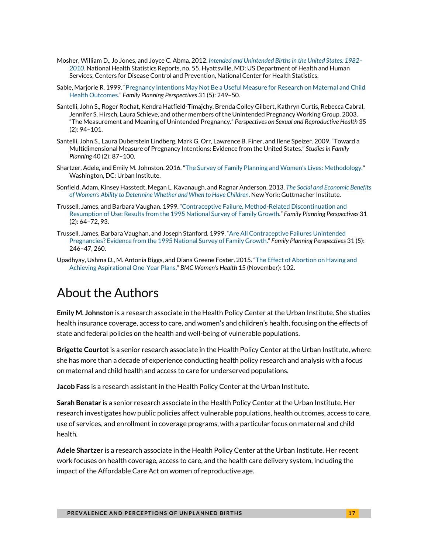- Mosher, William D., Jo Jones, and Joyce C. Abma. 2012. *[Intended and Unintended Births in the United States: 1982–](https://www.cdc.gov/nchs/data/nhsr/nhsr055.pdf) [2010](https://www.cdc.gov/nchs/data/nhsr/nhsr055.pdf)*. National Health Statistics Reports, no. 55. Hyattsville, MD: US Department of Health and Human Services, Centers for Disease Control and Prevention, National Center for Health Statistics.
- Sable, Marjorie R. 1999. ["Pregnancy Intentions May Not Be a Useful Measure for Research on Maternal and Child](http://www.jstor.org/stable/2991575)  [Health Outcomes."](http://www.jstor.org/stable/2991575) *Family Planning Perspectives* 31 (5): 249–50.
- Santelli, John S., Roger Rochat, Kendra Hatfield-Timajchy, Brenda Colley Gilbert, Kathryn Curtis, Rebecca Cabral, Jennifer S. Hirsch, Laura Schieve, and other members of the Unintended Pregnancy Working Group. 2003. "The Measurement and Meaning of Unintended Pregnancy." *Perspectives on Sexual and Reproductive Health* 35 (2): 94–101.
- Santelli, John S., Laura Duberstein Lindberg, Mark G. Orr, Lawrence B. Finer, and Ilene Speizer. 2009. "Toward a Multidimensional Measure of Pregnancy Intentions: Evidence from the United States." *Studies in Family Planning* 40 (2): 87–100.
- Shartzer, Adele, and Emily M. Johnston. 2016. ["The Survey of Family Planning and Women's Lives: Methodology.](http://edit.urban.org/sites/default/files/survey-of-family-planning-and-womens-lives-methodology-2016_0.pdf)" Washington, DC: Urban Institute.
- Sonfield, Adam, Kinsey Hasstedt, Megan L. Kavanaugh, and Ragnar Anderson. 2013. *[The Social and Economic Benefits](https://editor.guttmacher.org/sites/default/files/report_pdf/social-economic-benefits.pdf)  [of Women's Ability to Determine Whether and When to Have Children](https://editor.guttmacher.org/sites/default/files/report_pdf/social-economic-benefits.pdf)*. New York: Guttmacher Institute.
- Trussell, James, and Barbara Vaughan. 1999. ["Contraceptive Failure, Method-Related Discontinuation and](http://www.jstor.org/stable/2991641)  [Resumption of Use: Results from the 1995 National Survey of Family Growth."](http://www.jstor.org/stable/2991641) *Family Planning Perspectives* 31 (2): 64–72, 93.
- Trussell, James, Barbara Vaughan, and Joseph Stanford. 1999. ["Are All Contraceptive Failures Unintended](http://www.jstor.org/stable/2991573)  [Pregnancies? Evidence from the 1995 National Survey of Family Growth."](http://www.jstor.org/stable/2991573) *Family Planning Perspectives* 31 (5): 246–47, 260.
- Upadhyay, Ushma D., M. Antonia Biggs, and Diana Greene Foster. 2015. ["The Effect of Abortion on Having and](https://doi.org/10.1186/s12905-015-0259-1)  [Achieving Aspirational One-Year Plans."](https://doi.org/10.1186/s12905-015-0259-1) *BMC Women's Health* 15 (November): 102.

## About the Authors

**Emily M. Johnston** is a research associate in the Health Policy Center at the Urban Institute. She studies health insurance coverage, access to care, and women's and children's health, focusing on the effects of state and federal policies on the health and well-being of vulnerable populations.

**Brigette Courtot** is a senior research associate in the Health Policy Center at the Urban Institute, where she has more than a decade of experience conducting health policy research and analysis with a focus on maternal and child health and access to care for underserved populations.

**Jacob Fass** is a research assistant in the Health Policy Center at the Urban Institute.

**Sarah Benatar** is a senior research associate in the Health Policy Center at the Urban Institute. Her research investigates how public policies affect vulnerable populations, health outcomes, access to care, use of services, and enrollment in coverage programs, with a particular focus on maternal and child health.

**Adele Shartzer** is a research associate in the Health Policy Center at the Urban Institute. Her recent work focuses on health coverage, access to care, and the health care delivery system, including the impact of the Affordable Care Act on women of reproductive age.